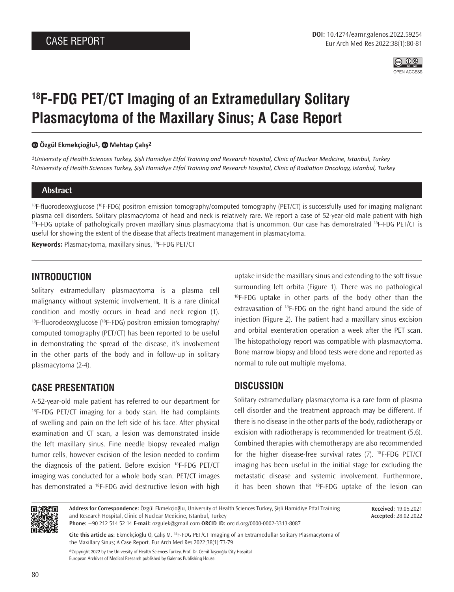

# **18F-FDG PET/CT Imaging of an Extramedullary Solitary Plasmacytoma of the Maxillary Sinus; A Case Report**

#### **Özgül Ekmekçioğlu1, Mehtap Çalış2**

*1University of Health Sciences Turkey, Şişli Hamidiye Etfal Training and Research Hospital, Clinic of Nuclear Medicine, Istanbul, Turkey 2University of Health Sciences Turkey, Şişli Hamidiye Etfal Training and Research Hospital, Clinic of Radiation Oncology, Istanbul, Turkey*

#### **Abstract**

18F-fluorodeoxyglucose (18F-FDG) positron emission tomography/computed tomography (PET/CT) is successfully used for imaging malignant plasma cell disorders. Solitary plasmacytoma of head and neck is relatively rare. We report a case of 52-year-old male patient with high  $18F-FDG$  uptake of pathologically proven maxillary sinus plasmacytoma that is uncommon. Our case has demonstrated  $18F-FDG$  PET/CT is useful for showing the extent of the disease that affects treatment management in plasmacytoma.

**Keywords:** Plasmacytoma, maxillary sinus, 18F-FDG PET/CT

### **INTRODUCTION**

Solitary extramedullary plasmacytoma is a plasma cell malignancy without systemic involvement. It is a rare clinical condition and mostly occurs in head and neck region (1).  $18F$ -fluorodeoxyglucose ( $18F$ -FDG) positron emission tomography/ computed tomography (PET/CT) has been reported to be useful in demonstrating the spread of the disease, it's involvement in the other parts of the body and in follow-up in solitary plasmacytoma (2-4).

## **CASE PRESENTATION**

A-52-year-old male patient has referred to our department for  $^{18}$ F-FDG PET/CT imaging for a body scan. He had complaints of swelling and pain on the left side of his face. After physical examination and CT scan, a lesion was demonstrated inside the left maxillary sinus. Fine needle biopsy revealed malign tumor cells, however excision of the lesion needed to confirm the diagnosis of the patient. Before excision 18F-FDG PET/CT imaging was conducted for a whole body scan. PET/CT images has demonstrated a <sup>18</sup>F-FDG avid destructive lesion with high

uptake inside the maxillary sinus and extending to the soft tissue surrounding left orbita (Figure 1). There was no pathological  $^{18}$ F-FDG uptake in other parts of the body other than the extravasation of <sup>18</sup>F-FDG on the right hand around the side of injection (Figure 2). The patient had a maxillary sinus excision and orbital exenteration operation a week after the PET scan. The histopathology report was compatible with plasmacytoma. Bone marrow biopsy and blood tests were done and reported as normal to rule out multiple myeloma.

## **DISCUSSION**

Solitary extramedullary plasmacytoma is a rare form of plasma cell disorder and the treatment approach may be different. If there is no disease in the other parts of the body, radiotherapy or excision with radiotherapy is recommended for treatment (5,6). Combined therapies with chemotherapy are also recommended for the higher disease-free survival rates (7). 18F-FDG PET/CT imaging has been useful in the initial stage for excluding the metastatic disease and systemic involvement. Furthermore, it has been shown that  $^{18}F$ -FDG uptake of the lesion can



**Address for Correspondence:** Özgül Ekmekçioğlu, University of Health Sciences Turkey, Şişli Hamidiye Etfal Training and Research Hospital, Clinic of Nuclear Medicine, Istanbul, Turkey **Phone:** +90 212 514 52 14 **E-mail:** ozgulek@gmail.com **ORCID ID:** orcid.org/0000-0002-3313-8087

**Received:** 19.05.2021 **Accepted:** 28.02.2022

**Cite this article as:** Ekmekçioğlu Ö, Çalış M. <sup>18</sup>F-FDG PET/CT Imaging of an Extramedullar Solitary Plasmacytoma of the Maxillary Sinus; A Case Report. Eur Arch Med Res 2022;38(1):73-79

©Copyright 2022 by the University of Health Sciences Turkey, Prof. Dr. Cemil Taşcıoğlu City Hospital European Archives of Medical Research published by Galenos Publishing House.